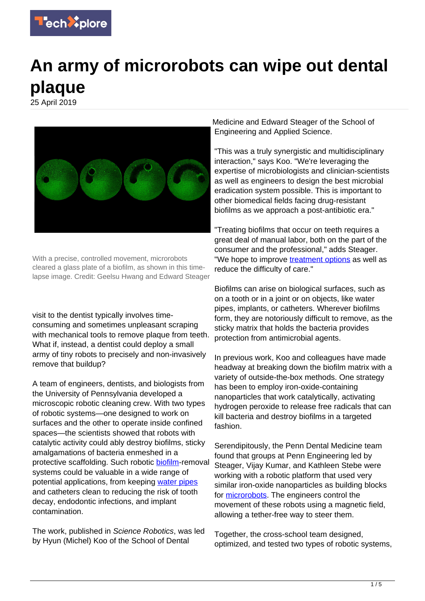

## **An army of microrobots can wipe out dental plaque**

25 April 2019



With a precise, controlled movement, microrobots cleared a glass plate of a biofilm, as shown in this timelapse image. Credit: Geelsu Hwang and Edward Steager

visit to the dentist typically involves timeconsuming and sometimes unpleasant scraping with mechanical tools to remove plaque from teeth. What if, instead, a dentist could deploy a small army of tiny robots to precisely and non-invasively remove that buildup?

A team of engineers, dentists, and biologists from the University of Pennsylvania developed a microscopic robotic cleaning crew. With two types of robotic systems—one designed to work on surfaces and the other to operate inside confined spaces—the scientists showed that robots with catalytic activity could ably destroy biofilms, sticky amalgamations of bacteria enmeshed in a protective scaffolding. Such robotic [biofilm-](https://techxplore.com/tags/biofilm/)removal systems could be valuable in a wide range of potential applications, from keeping [water pipes](https://techxplore.com/tags/water+pipes/) and catheters clean to reducing the risk of tooth decay, endodontic infections, and implant contamination.

The work, published in Science Robotics, was led by Hyun (Michel) Koo of the School of Dental

Medicine and Edward Steager of the School of Engineering and Applied Science.

"This was a truly synergistic and multidisciplinary interaction," says Koo. "We're leveraging the expertise of microbiologists and clinician-scientists as well as engineers to design the best microbial eradication system possible. This is important to other biomedical fields facing drug-resistant biofilms as we approach a post-antibiotic era."

"Treating biofilms that occur on teeth requires a great deal of manual labor, both on the part of the consumer and the professional," adds Steager. "We hope to improve [treatment options](https://techxplore.com/tags/treatment+options/) as well as reduce the difficulty of care."

Biofilms can arise on biological surfaces, such as on a tooth or in a joint or on objects, like water pipes, implants, or catheters. Wherever biofilms form, they are notoriously difficult to remove, as the sticky matrix that holds the bacteria provides protection from antimicrobial agents.

In previous work, Koo and colleagues have made headway at breaking down the biofilm matrix with a variety of outside-the-box methods. One strategy has been to employ iron-oxide-containing nanoparticles that work catalytically, activating hydrogen peroxide to release free radicals that can kill bacteria and destroy biofilms in a targeted fashion.

Serendipitously, the Penn Dental Medicine team found that groups at Penn Engineering led by Steager, Vijay Kumar, and Kathleen Stebe were working with a robotic platform that used very similar iron-oxide nanoparticles as building blocks for [microrobots.](https://techxplore.com/tags/microrobots/) The engineers control the movement of these robots using a magnetic field, allowing a tether-free way to steer them.

Together, the cross-school team designed, optimized, and tested two types of robotic systems,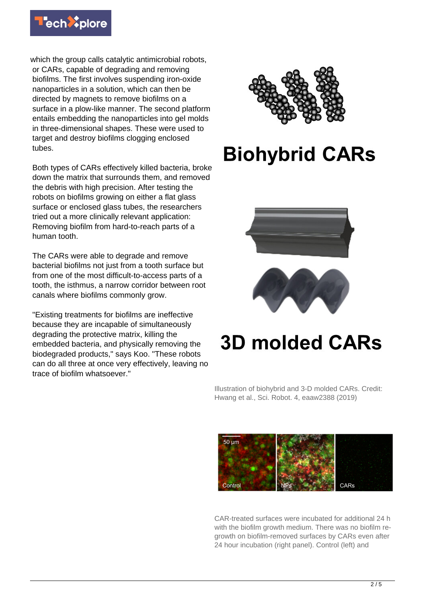

which the group calls catalytic antimicrobial robots, or CARs, capable of degrading and removing biofilms. The first involves suspending iron-oxide nanoparticles in a solution, which can then be directed by magnets to remove biofilms on a surface in a plow-like manner. The second platform entails embedding the nanoparticles into gel molds in three-dimensional shapes. These were used to target and destroy biofilms clogging enclosed tubes.

Both types of CARs effectively killed bacteria, broke down the matrix that surrounds them, and removed the debris with high precision. After testing the robots on biofilms growing on either a flat glass surface or enclosed glass tubes, the researchers tried out a more clinically relevant application: Removing biofilm from hard-to-reach parts of a human tooth.

The CARs were able to degrade and remove bacterial biofilms not just from a tooth surface but from one of the most difficult-to-access parts of a tooth, the isthmus, a narrow corridor between root canals where biofilms commonly grow.

"Existing treatments for biofilms are ineffective because they are incapable of simultaneously degrading the protective matrix, killing the embedded bacteria, and physically removing the biodegraded products," says Koo. "These robots can do all three at once very effectively, leaving no trace of biofilm whatsoever."



## **Biohybrid CARs**





## **3D molded CARs**

Illustration of biohybrid and 3-D molded CARs. Credit: Hwang et al., Sci. Robot. 4, eaaw2388 (2019)



CAR-treated surfaces were incubated for additional 24 h with the biofilm growth medium. There was no biofilm regrowth on biofilm-removed surfaces by CARs even after 24 hour incubation (right panel). Control (left) and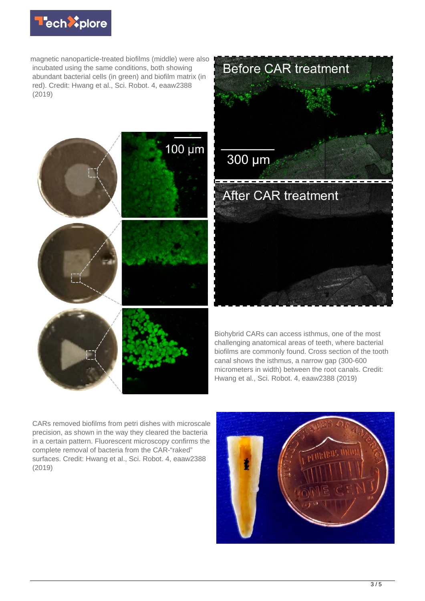![](_page_2_Picture_0.jpeg)

magnetic nanoparticle-treated biofilms (middle) were also incubated using the same conditions, both showing abundant bacterial cells (in green) and biofilm matrix (in red). Credit: Hwang et al., Sci. Robot. 4, eaaw2388 (2019)

![](_page_2_Picture_2.jpeg)

![](_page_2_Picture_3.jpeg)

Biohybrid CARs can access isthmus, one of the most challenging anatomical areas of teeth, where bacterial biofilms are commonly found. Cross section of the tooth canal shows the isthmus, a narrow gap (300-600 micrometers in width) between the root canals. Credit: Hwang et al., Sci. Robot. 4, eaaw2388 (2019)

CARs removed biofilms from petri dishes with microscale precision, as shown in the way they cleared the bacteria in a certain pattern. Fluorescent microscopy confirms the complete removal of bacteria from the CAR-"raked" surfaces. Credit: Hwang et al., Sci. Robot. 4, eaaw2388 (2019)

![](_page_2_Picture_6.jpeg)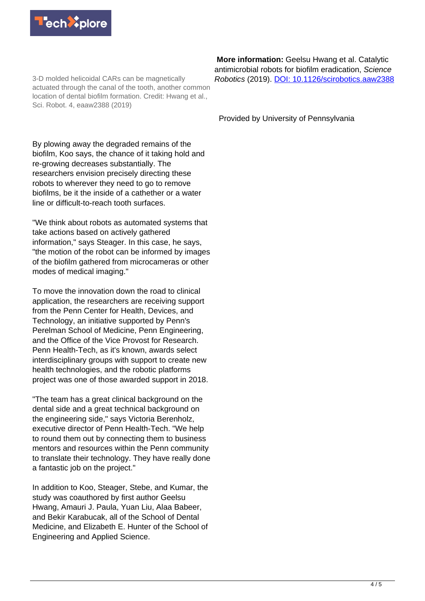![](_page_3_Picture_0.jpeg)

3-D molded helicoidal CARs can be magnetically actuated through the canal of the tooth, another common location of dental biofilm formation. Credit: Hwang et al., Sci. Robot. 4, eaaw2388 (2019)

By plowing away the degraded remains of the biofilm, Koo says, the chance of it taking hold and re-growing decreases substantially. The researchers envision precisely directing these robots to wherever they need to go to remove biofilms, be it the inside of a cathether or a water line or difficult-to-reach tooth surfaces.

"We think about robots as automated systems that take actions based on actively gathered information," says Steager. In this case, he says, "the motion of the robot can be informed by images of the biofilm gathered from microcameras or other modes of medical imaging."

To move the innovation down the road to clinical application, the researchers are receiving support from the Penn Center for Health, Devices, and Technology, an initiative supported by Penn's Perelman School of Medicine, Penn Engineering, and the Office of the Vice Provost for Research. Penn Health-Tech, as it's known, awards select interdisciplinary groups with support to create new health technologies, and the robotic platforms project was one of those awarded support in 2018.

"The team has a great clinical background on the dental side and a great technical background on the engineering side," says Victoria Berenholz, executive director of Penn Health-Tech. "We help to round them out by connecting them to business mentors and resources within the Penn community to translate their technology. They have really done a fantastic job on the project."

In addition to Koo, Steager, Stebe, and Kumar, the study was coauthored by first author Geelsu Hwang, Amauri J. Paula, Yuan Liu, Alaa Babeer, and Bekir Karabucak, all of the School of Dental Medicine, and Elizabeth E. Hunter of the School of Engineering and Applied Science.

 **More information:** Geelsu Hwang et al. Catalytic antimicrobial robots for biofilm eradication, Science Robotics (2019). [DOI: 10.1126/scirobotics.aaw2388](http://dx.doi.org/10.1126/scirobotics.aaw2388)

Provided by University of Pennsylvania